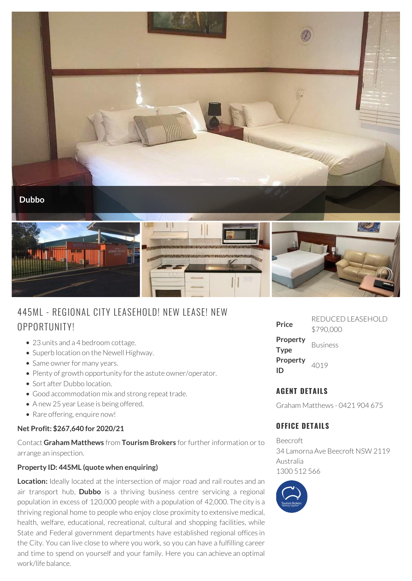

# 445ML - REG IONAL CITY LEASEHOLD! NEW LEASE! NEW OPPORTUNITY!

- 23 units and a 4 bedroom cottage.
- Superb location on the Newell Highway.
- Same owner for many years.
- Plenty of growth opportunity for the astute owner/operator.
- Sort after Dubbo location.
- Good accommodation mix and strong repeat trade.
- A new 25 year Lease is being offered.
- Rare offering, enquire now!

#### **Net Profit: \$267,640 for 2020/21**

Contact **Graham Matthews** from **Tourism Brokers** for further information or to arrange an inspection.

#### **Property ID: 445ML (quote when enquiring)**

**Location:** Ideally located at the intersection of major road and rail routes and an air transport hub, **Dubbo** is a thriving business centre servicing a regional population in excess of 120,000 people with a population of 42,000. The city is a thriving regional home to people who enjoy close proximity to extensive medical, health, welfare, educational, recreational, cultural and shopping facilities, while State and Federal government departments have established regional offices in the City. You can live close to where you work, so you can have a fulfilling career and time to spend on yourself and your family. Here you can achieve an optimal work/life balance.

| Price                   | REDUCED I FASEHOI D<br>\$790,000 |
|-------------------------|----------------------------------|
| Property<br><b>Type</b> | <b>Business</b>                  |
| Property<br>ID          | 4019                             |

## **AGENT DETAILS**

Graham Matthews - 0421 904 675

### **OFFICE DETAILS**

Beecroft 34 Lamorna Ave Beecroft NSW 2119 Australia 1300 512 566